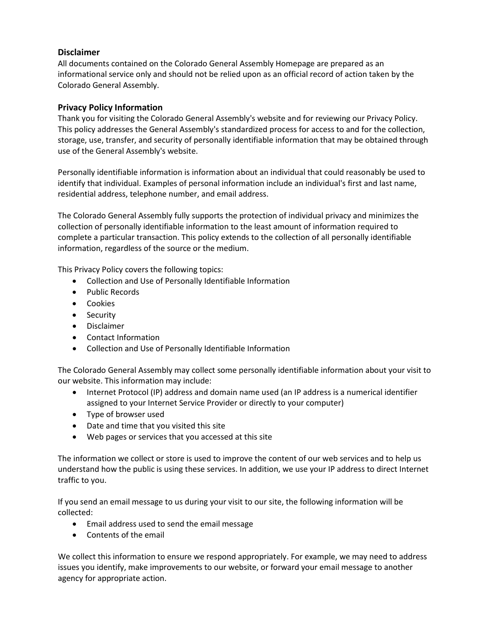# **Disclaimer**

All documents contained on the Colorado General Assembly Homepage are prepared as an informational service only and should not be relied upon as an official record of action taken by the Colorado General Assembly.

## **Privacy Policy Information**

Thank you for visiting the Colorado General Assembly's website and for reviewing our Privacy Policy. This policy addresses the General Assembly's standardized process for access to and for the collection, storage, use, transfer, and security of personally identifiable information that may be obtained through use of the General Assembly's website.

Personally identifiable information is information about an individual that could reasonably be used to identify that individual. Examples of personal information include an individual's first and last name, residential address, telephone number, and email address.

The Colorado General Assembly fully supports the protection of individual privacy and minimizes the collection of personally identifiable information to the least amount of information required to complete a particular transaction. This policy extends to the collection of all personally identifiable information, regardless of the source or the medium.

This Privacy Policy covers the following topics:

- Collection and Use of Personally Identifiable Information
- Public Records
- Cookies
- Security
- Disclaimer
- Contact Information
- Collection and Use of Personally Identifiable Information

The Colorado General Assembly may collect some personally identifiable information about your visit to our website. This information may include:

- Internet Protocol (IP) address and domain name used (an IP address is a numerical identifier assigned to your Internet Service Provider or directly to your computer)
- Type of browser used
- Date and time that you visited this site
- Web pages or services that you accessed at this site

The information we collect or store is used to improve the content of our web services and to help us understand how the public is using these services. In addition, we use your IP address to direct Internet traffic to you.

If you send an email message to us during your visit to our site, the following information will be collected:

- Email address used to send the email message
- Contents of the email

We collect this information to ensure we respond appropriately. For example, we may need to address issues you identify, make improvements to our website, or forward your email message to another agency for appropriate action.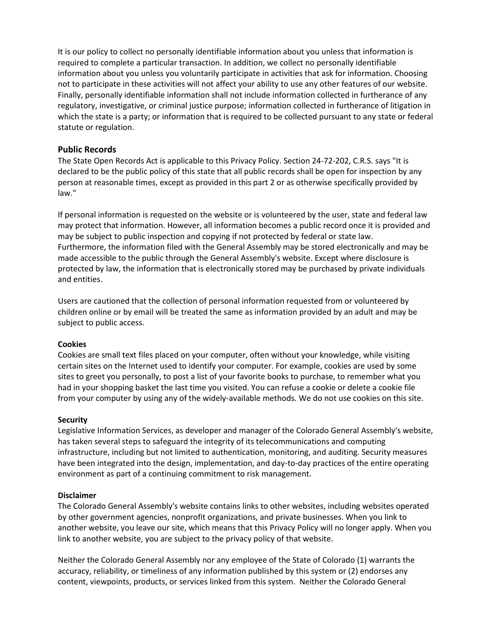It is our policy to collect no personally identifiable information about you unless that information is required to complete a particular transaction. In addition, we collect no personally identifiable information about you unless you voluntarily participate in activities that ask for information. Choosing not to participate in these activities will not affect your ability to use any other features of our website. Finally, personally identifiable information shall not include information collected in furtherance of any regulatory, investigative, or criminal justice purpose; information collected in furtherance of litigation in which the state is a party; or information that is required to be collected pursuant to any state or federal statute or regulation.

### **Public Records**

The State Open Records Act is applicable to this Privacy Policy. Section 24-72-202, C.R.S. says "It is declared to be the public policy of this state that all public records shall be open for inspection by any person at reasonable times, except as provided in this part 2 or as otherwise specifically provided by law."

If personal information is requested on the website or is volunteered by the user, state and federal law may protect that information. However, all information becomes a public record once it is provided and may be subject to public inspection and copying if not protected by federal or state law. Furthermore, the information filed with the General Assembly may be stored electronically and may be made accessible to the public through the General Assembly's website. Except where disclosure is protected by law, the information that is electronically stored may be purchased by private individuals and entities.

Users are cautioned that the collection of personal information requested from or volunteered by children online or by email will be treated the same as information provided by an adult and may be subject to public access.

#### **Cookies**

Cookies are small text files placed on your computer, often without your knowledge, while visiting certain sites on the Internet used to identify your computer. For example, cookies are used by some sites to greet you personally, to post a list of your favorite books to purchase, to remember what you had in your shopping basket the last time you visited. You can refuse a cookie or delete a cookie file from your computer by using any of the widely-available methods. We do not use cookies on this site.

#### **Security**

Legislative Information Services, as developer and manager of the Colorado General Assembly's website, has taken several steps to safeguard the integrity of its telecommunications and computing infrastructure, including but not limited to authentication, monitoring, and auditing. Security measures have been integrated into the design, implementation, and day-to-day practices of the entire operating environment as part of a continuing commitment to risk management.

#### **Disclaimer**

The Colorado General Assembly's website contains links to other websites, including websites operated by other government agencies, nonprofit organizations, and private businesses. When you link to another website, you leave our site, which means that this Privacy Policy will no longer apply. When you link to another website, you are subject to the privacy policy of that website.

Neither the Colorado General Assembly nor any employee of the State of Colorado (1) warrants the accuracy, reliability, or timeliness of any information published by this system or (2) endorses any content, viewpoints, products, or services linked from this system. Neither the Colorado General